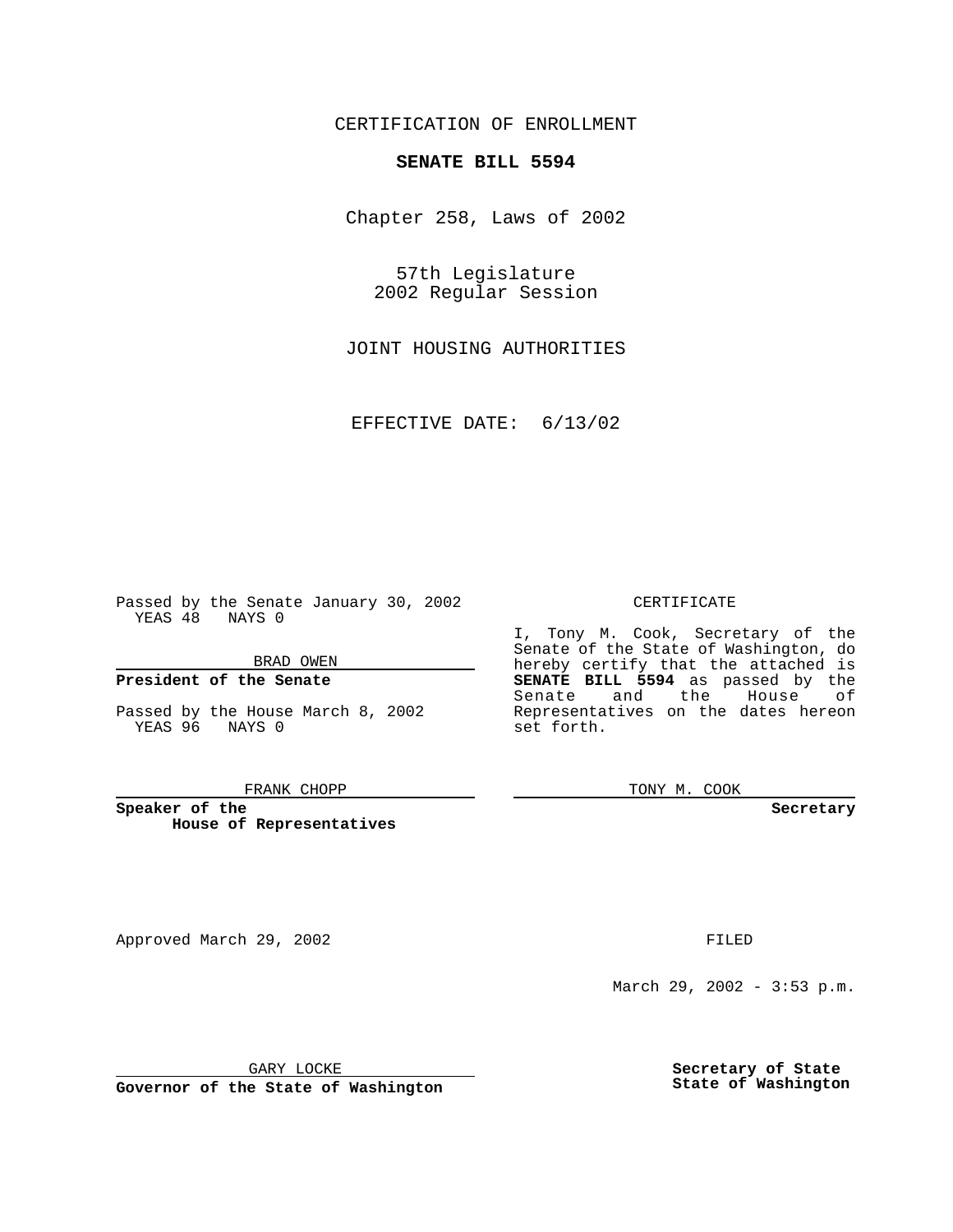CERTIFICATION OF ENROLLMENT

# **SENATE BILL 5594**

Chapter 258, Laws of 2002

57th Legislature 2002 Regular Session

JOINT HOUSING AUTHORITIES

EFFECTIVE DATE: 6/13/02

Passed by the Senate January 30, 2002 YEAS 48 NAYS 0

BRAD OWEN

### **President of the Senate**

Passed by the House March 8, 2002 YEAS 96 NAYS 0

#### FRANK CHOPP

**Speaker of the House of Representatives**

Approved March 29, 2002 **FILED** 

### CERTIFICATE

I, Tony M. Cook, Secretary of the Senate of the State of Washington, do hereby certify that the attached is **SENATE BILL 5594** as passed by the Senate and the House of Representatives on the dates hereon set forth.

TONY M. COOK

**Secretary**

March 29, 2002 - 3:53 p.m.

GARY LOCKE

**Governor of the State of Washington**

**Secretary of State State of Washington**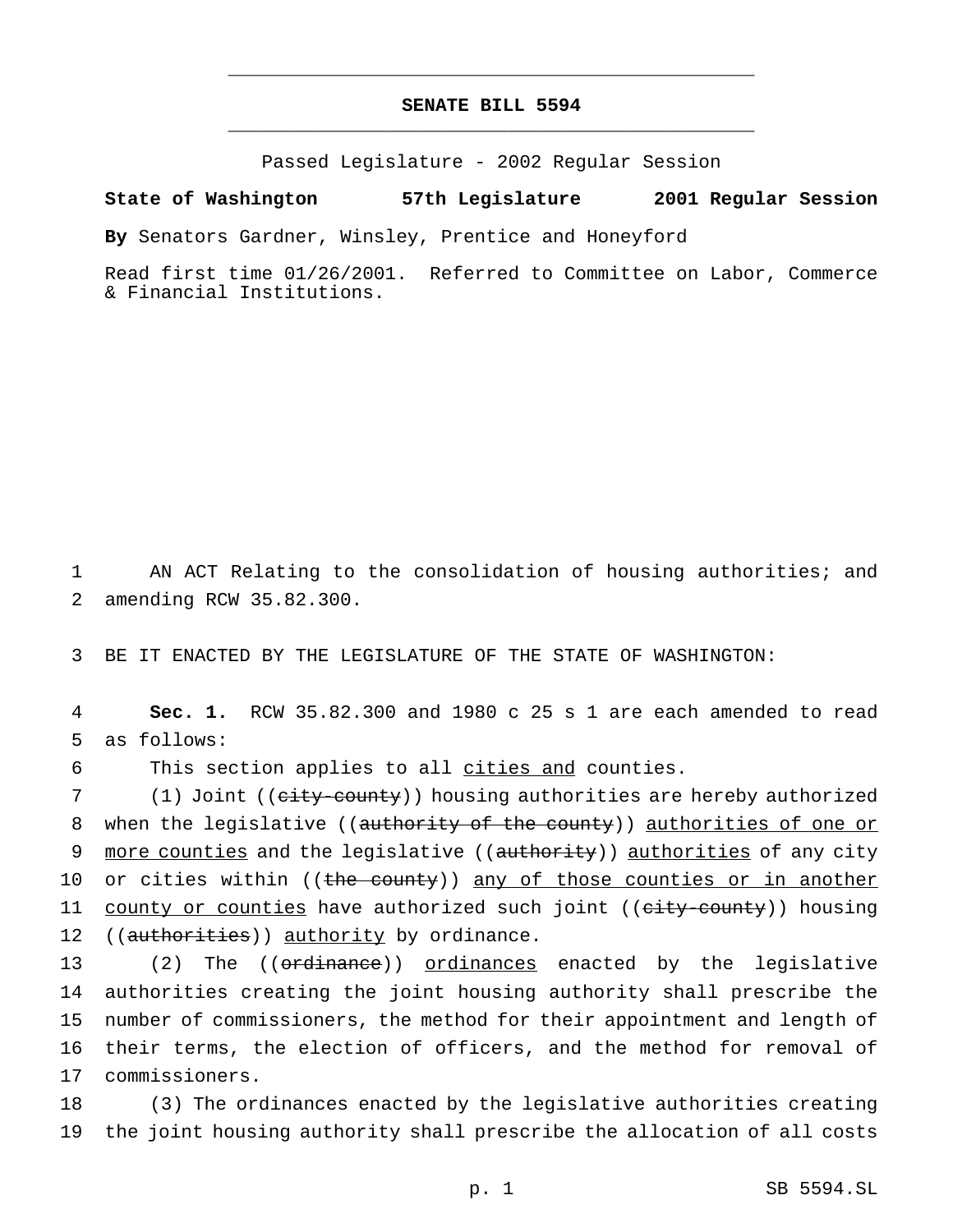## **SENATE BILL 5594** \_\_\_\_\_\_\_\_\_\_\_\_\_\_\_\_\_\_\_\_\_\_\_\_\_\_\_\_\_\_\_\_\_\_\_\_\_\_\_\_\_\_\_\_\_\_\_

\_\_\_\_\_\_\_\_\_\_\_\_\_\_\_\_\_\_\_\_\_\_\_\_\_\_\_\_\_\_\_\_\_\_\_\_\_\_\_\_\_\_\_\_\_\_\_

Passed Legislature - 2002 Regular Session

**State of Washington 57th Legislature 2001 Regular Session**

**By** Senators Gardner, Winsley, Prentice and Honeyford

Read first time 01/26/2001. Referred to Committee on Labor, Commerce & Financial Institutions.

1 AN ACT Relating to the consolidation of housing authorities; and 2 amending RCW 35.82.300.

3 BE IT ENACTED BY THE LEGISLATURE OF THE STATE OF WASHINGTON:

4 **Sec. 1.** RCW 35.82.300 and 1980 c 25 s 1 are each amended to read 5 as follows:

6 This section applies to all cities and counties.

7 (1) Joint ((city-county)) housing authorities are hereby authorized 8 when the legislative ((authority of the county)) authorities of one or 9 more counties and the legislative ((authority)) authorities of any city 10 or cities within ((the county)) any of those counties or in another 11 county or counties have authorized such joint ((eity-county)) housing 12 ((authorities)) authority by ordinance.

13 (2) The ((ordinance)) ordinances enacted by the legislative authorities creating the joint housing authority shall prescribe the number of commissioners, the method for their appointment and length of their terms, the election of officers, and the method for removal of commissioners.

18 (3) The ordinances enacted by the legislative authorities creating 19 the joint housing authority shall prescribe the allocation of all costs